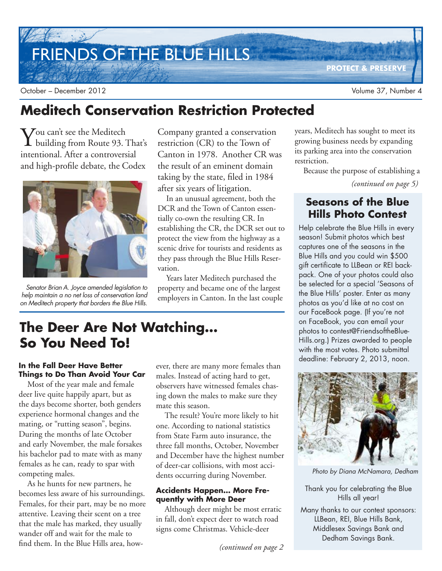# FRIENDS OF THE BLUE HILLS

**PROTECT & PRESERVE**

October – December 2012 Volume 37, Number 4

# **Meditech Conservation Restriction Protected**

Vou can't see the Meditech<br>
building from Route 93. building from Route 93. That's intentional. After a controversial and high-profile debate, the Codex



Senator Brian A. Joyce amended legislation to help maintain a no net loss of conservation land on Meditech property that borders the Blue Hills.

Company granted a conservation restriction (CR) to the Town of Canton in 1978. Another CR was the result of an eminent domain taking by the state, filed in 1984 after six years of litigation.

In an unusual agreement, both the DCR and the Town of Canton essentially co-own the resulting CR. In establishing the CR, the DCR set out to protect the view from the highway as a scenic drive for tourists and residents as they pass through the Blue Hills Reservation.

Years later Meditech purchased the property and became one of the largest employers in Canton. In the last couple

# **The Deer Are Not Watching… So You Need To!**

### **In the Fall Deer Have Better Things to Do Than Avoid Your Car**

Most of the year male and female deer live quite happily apart, but as the days become shorter, both genders experience hormonal changes and the mating, or "rutting season", begins. During the months of late October and early November, the male forsakes his bachelor pad to mate with as many females as he can, ready to spar with competing males.

As he hunts for new partners, he becomes less aware of his surroundings. Females, for their part, may be no more attentive. Leaving their scent on a tree that the male has marked, they usually wander off and wait for the male to find them. In the Blue Hills area, however, there are many more females than males. Instead of acting hard to get, observers have witnessed females chasing down the males to make sure they mate this season.

The result? You're more likely to hit one. According to national statistics from State Farm auto insurance, the three fall months, October, November and December have the highest number of deer-car collisions, with most accidents occurring during November.

#### **Accidents Happen… More Frequently with More Deer**

Although deer might be most erratic in fall, don't expect deer to watch road signs come Christmas. Vehicle-deer

*(continued on page 2*

years, Meditech has sought to meet its growing business needs by expanding its parking area into the conservation restriction.

Because the purpose of establishing a

*(continued on page 5)*

### **Seasons of the Blue Hills Photo Contest**

Help celebrate the Blue Hills in every season! Submit photos which best captures one of the seasons in the Blue Hills and you could win \$500 gift certificate to LLBean or REI backpack. One of your photos could also be selected for a special 'Seasons of the Blue Hills' poster. Enter as many photos as you'd like at no cost on our FaceBook page. (If you're not on FaceBook, you can email your photos to contest@FriendsoftheBlue-Hills.org.) Prizes awarded to people with the most votes. Photo submittal deadline: February 2, 2013, noon.



Photo by Diana McNamara, Dedham

Thank you for celebrating the Blue Hills all year!

Many thanks to our contest sponsors: LLBean, REI, Blue Hills Bank, Middlesex Savings Bank and Dedham Savings Bank.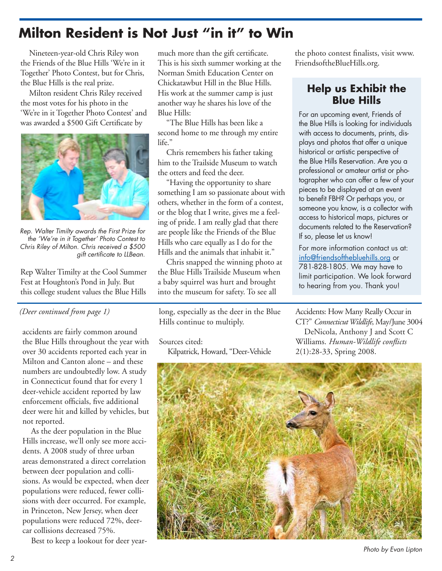# **Milton Resident is Not Just "in it" to Win**

Nineteen-year-old Chris Riley won the Friends of the Blue Hills 'We're in it Together' Photo Contest, but for Chris, the Blue Hills is the real prize.

Milton resident Chris Riley received the most votes for his photo in the 'We're in it Together Photo Contest' and was awarded a \$500 Gift Certificate by



Rep. Walter Timilty awards the First Prize for the 'We're in it Together' Photo Contest to Chris Riley of Milton. Chris received a \$500 <sup>g</sup>ift certificate to LLBean.

Rep Walter Timilty at the Cool Summer Fest at Houghton's Pond in July. But this college student values the Blue Hills

### *(Deer continued from page 1)*

accidents are fairly common around the Blue Hills throughout the year with over 30 accidents reported each year in Milton and Canton alone – and these numbers are undoubtedly low. A study in Connecticut found that for every 1 deer-vehicle accident reported by law enforcement officials, five additional deer were hit and killed by vehicles, but not reported.

As the deer population in the Blue Hills increase, we'll only see more accidents. A 2008 study of three urban areas demonstrated a direct correlation between deer population and collisions. As would be expected, when deer populations were reduced, fewer collisions with deer occurred. For example, in Princeton, New Jersey, when deer populations were reduced 72%, deercar collisions decreased 75%.

Best to keep a lookout for deer year-

much more than the gift certificate. This is his sixth summer working at the Norman Smith Education Center on Chickatawbut Hill in the Blue Hills. His work at the summer camp is just another way he shares his love of the Blue Hills:

"The Blue Hills has been like a second home to me through my entire life."

Chris remembers his father taking him to the Trailside Museum to watch the otters and feed the deer.

"Having the opportunity to share something I am so passionate about with others, whether in the form of a contest, or the blog that I write, gives me a feeling of pride. I am really glad that there are people like the Friends of the Blue Hills who care equally as I do for the Hills and the animals that inhabit it."

Chris snapped the winning photo at the Blue Hills Trailside Museum when a baby squirrel was hurt and brought into the museum for safety. To see all

long, especially as the deer in the Blue Hills continue to multiply.

Sources cited:

Kilpatrick, Howard, "Deer-Vehicle

the photo contest finalists, visit www. FriendsoftheBlueHills.org.

### **Help us Exhibit the Blue Hills**

For an upcoming event, Friends of the Blue Hills is looking for individuals with access to documents, prints, displays and photos that offer a unique historical or artistic perspective of the Blue Hills Reservation. Are you a professional or amateur artist or photographer who can offer a few of your pieces to be displayed at an event to benefit FBH? Or perhaps you, or someone you know, is a collector with access to historical maps, pictures or documents related to the Reservation? If so, please let us know!

For more information contact us at: info@friendsofthebluehills.org or 781-828-1805. We may have to limit participation. We look forward to hearing from you. Thank you!

Accidents: How Many Really Occur in CT?" *Connecticut Wildlife*, May/June 3004 DeNicola, Anthony J and Scott C Williams. *Human-Wildlife conflicts* 2(1):28-33, Spring 2008.



Photo by Evan Lipton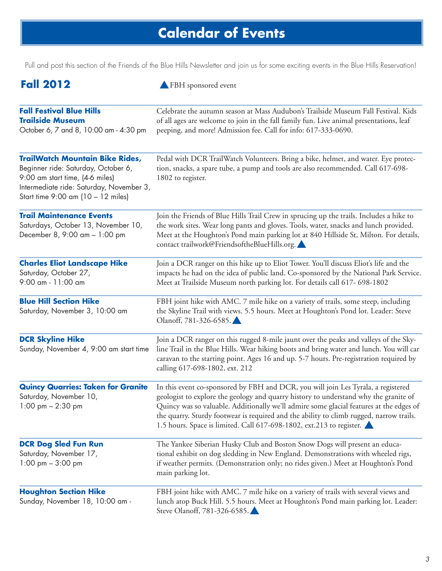# **Calendar of Events**

Pull and post this section of the Friends of the Blue Hills Newsletter and join us for some exciting events in the Blue Hills Reservation!

| <b>Fall 2012</b>                                                                                                                                                                                   | FBH sponsored event                                                                                                                                                                                                                                                                                                                                                                                                                     |
|----------------------------------------------------------------------------------------------------------------------------------------------------------------------------------------------------|-----------------------------------------------------------------------------------------------------------------------------------------------------------------------------------------------------------------------------------------------------------------------------------------------------------------------------------------------------------------------------------------------------------------------------------------|
| <b>Fall Festival Blue Hills</b><br><b>Trailside Museum</b><br>October 6, 7 and 8, 10:00 am - 4:30 pm                                                                                               | Celebrate the autumn season at Mass Audubon's Trailside Museum Fall Festival. Kids<br>of all ages are welcome to join in the fall family fun. Live animal presentations, leaf<br>peeping, and more! Admission fee. Call for info: 617-333-0690.                                                                                                                                                                                         |
| <b>TrailWatch Mountain Bike Rides,</b><br>Beginner ride: Saturday, October 6,<br>9:00 am start time, (4-6 miles)<br>Intermediate ride: Saturday, November 3,<br>Start time 9:00 am (10 - 12 miles) | Pedal with DCR TrailWatch Volunteers. Bring a bike, helmet, and water. Eye protec-<br>tion, snacks, a spare tube, a pump and tools are also recommended. Call 617-698-<br>1802 to register.                                                                                                                                                                                                                                             |
| <b>Trail Maintenance Events</b><br>Saturdays, October 13, November 10,<br>December 8, 9:00 am - 1:00 pm                                                                                            | Join the Friends of Blue Hills Trail Crew in sprucing up the trails. Includes a hike to<br>the work sites. Wear long pants and gloves. Tools, water, snacks and lunch provided.<br>Meet at the Houghton's Pond main parking lot at 840 Hillside St, Milton. For details,<br>contact trailwork@FriendsoftheBlueHills.org.                                                                                                                |
| <b>Charles Eliot Landscape Hike</b><br>Saturday, October 27,<br>9:00 am - 11:00 am                                                                                                                 | Join a DCR ranger on this hike up to Eliot Tower. You'll discuss Eliot's life and the<br>impacts he had on the idea of public land. Co-sponsored by the National Park Service.<br>Meet at Trailside Museum north parking lot. For details call 617- 698-1802                                                                                                                                                                            |
| <b>Blue Hill Section Hike</b><br>Saturday, November 3, 10:00 am                                                                                                                                    | FBH joint hike with AMC. 7 mile hike on a variety of trails, some steep, including<br>the Skyline Trail with views. 5.5 hours. Meet at Houghton's Pond lot. Leader: Steve<br>Olanoff, 781-326-6585.                                                                                                                                                                                                                                     |
| <b>DCR Skyline Hike</b><br>Sunday, November 4, 9:00 am start time                                                                                                                                  | Join a DCR ranger on this rugged 8-mile jaunt over the peaks and valleys of the Sky-<br>line Trail in the Blue Hills. Wear hiking boots and bring water and lunch. You will car<br>caravan to the starting point. Ages 16 and up. 5-7 hours. Pre-registration required by<br>calling 617-698-1802, ext. 212                                                                                                                             |
| <b>Quincy Quarries: Taken for Granite</b><br>Saturday, November 10,<br>1:00 pm $- 2:30$ pm                                                                                                         | In this event co-sponsored by FBH and DCR, you will join Les Tyrala, a registered<br>geologist to explore the geology and quarry history to understand why the granite of<br>Quincy was so valuable. Additionally we'll admire some glacial features at the edges of<br>the quarry. Sturdy footwear is required and the ability to climb rugged, narrow trails.<br>1.5 hours. Space is limited. Call 617-698-1802, ext.213 to register. |
| <b>DCR Dog Sled Fun Run</b><br>Saturday, November 17,<br>1:00 pm $-3:00$ pm                                                                                                                        | The Yankee Siberian Husky Club and Boston Snow Dogs will present an educa-<br>tional exhibit on dog sledding in New England. Demonstrations with wheeled rigs,<br>if weather permits. (Demonstration only; no rides given.) Meet at Houghton's Pond<br>main parking lot.                                                                                                                                                                |
| <b>Houghton Section Hike</b><br>Sunday, November 18, 10:00 am -                                                                                                                                    | FBH joint hike with AMC. 7 mile hike on a variety of trails with several views and<br>lunch atop Buck Hill. 5.5 hours. Meet at Houghton's Pond main parking lot. Leader:<br>Steve Olanoff, 781-326-6585.                                                                                                                                                                                                                                |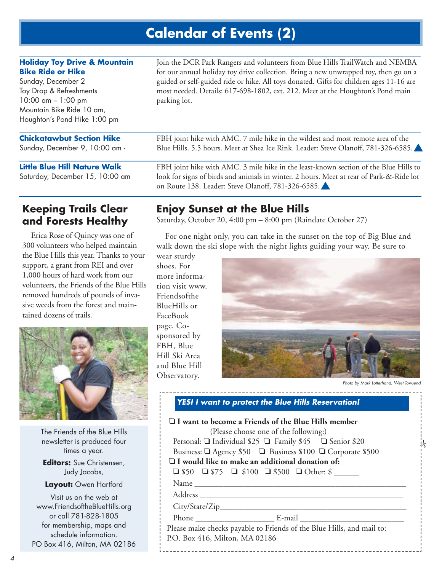# **Calendar of Events (2)**

### **Holiday Toy Drive & Mountain Bike Ride or Hike**

Sunday, December 2 Toy Drop & Refreshments 10:00 am – 1:00 pm Mountain Bike Ride 10 am, Houghton's Pond Hike 1:00 pm

### **Chickatawbut Section Hike**

Sunday, December 9, 10:00 am -

#### **Little Blue Hill Nature Walk**

Saturday, December 15, 10:00 am

Join the DCR Park Rangers and volunteers from Blue Hills TrailWatch and NEMBA for our annual holiday toy drive collection. Bring a new unwrapped toy, then go on a guided or self-guided ride or hike. All toys donated. Gifts for children ages 11-16 are most needed. Details: 617-698-1802, ext. 212. Meet at the Houghton's Pond main parking lot.

FBH joint hike with AMC. 7 mile hike in the wildest and most remote area of the Blue Hills. 5.5 hours. Meet at Shea Ice Rink. Leader: Steve Olanoff, 781-326-6585. ▲

FBH joint hike with AMC. 3 mile hike in the least-known section of the Blue Hills to look for signs of birds and animals in winter. 2 hours. Meet at rear of Park-&-Ride lot on Route 138. Leader: Steve Olanoff, 781-326-6585. ▲

### **Keeping Trails Clear and Forests Healthy**

Erica Rose of Quincy was one of 300 volunteers who helped maintain the Blue Hills this year. Thanks to your support, a grant from REI and over 1,000 hours of hard work from our volunteers, the Friends of the Blue Hills removed hundreds of pounds of invasive weeds from the forest and maintained dozens of trails.



The Friends of the Blue Hills newsletter is produced four times a year. **Editors:** Sue Christensen, Judy Jacobs, **Layout:** Owen Hartford Visit us on the web at

www.FriendsoftheBlueHills.org or call 781-828-1805 for membership, maps and schedule information. PO Box 416, Milton, MA 02186

### **Enjoy Sunset at the Blue Hills**

Saturday, October 20, 4:00 pm – 8:00 pm (Raindate October 27)

For one night only, you can take in the sunset on the top of Big Blue and walk down the ski slope with the night lights guiding your way. Be sure to

wear sturdy shoes. For more information visit www. Friendsofthe BlueHills or FaceBook page. Cosponsored by FBH, Blue Hill Ski Area and Blue Hill Observatory.



Photo by Mark Lotterhand, West Towsend

.<br>N

 **YES! I want to protect the Blue Hills Reservation!**  ❏ **I want to become a Friends of the Blue Hills member** (Please choose one of the following:) Personal: ❏ Individual \$25 ❏ Family \$45 ❏ Senior \$20 Business: ❏ Agency \$50 ❏ Business \$100 ❏ Corporate \$500 ❏ **I would like to make an additional donation of:**   $\Box$  \$50  $\Box$  \$75  $\Box$  \$100  $\Box$  \$500  $\Box$  Other: \$ Name \_\_\_\_\_\_\_\_\_\_\_\_\_\_\_\_\_\_\_\_\_\_\_\_\_\_\_\_\_\_\_\_\_\_\_\_\_\_\_\_\_\_\_\_\_\_\_\_\_\_\_ Address \_\_\_\_\_\_\_\_\_\_\_\_\_\_\_\_\_\_\_\_\_\_\_\_\_\_\_\_\_\_\_\_\_\_\_\_\_\_\_\_\_\_\_\_\_\_\_\_\_ City/State/Zip\_\_\_\_\_\_\_\_\_\_\_\_\_\_\_\_\_\_\_\_\_\_\_\_\_\_\_\_\_\_\_\_\_\_\_\_\_\_\_\_\_\_\_\_\_ Phone \_\_\_\_\_\_\_\_\_\_\_\_\_\_\_\_\_\_\_ E-mail \_\_\_\_\_\_\_\_\_\_\_\_\_\_\_\_\_\_\_\_\_\_\_\_\_ Please make checks payable to Friends of the Blue Hills, and mail to: P.O. Box 416, Milton, MA 02186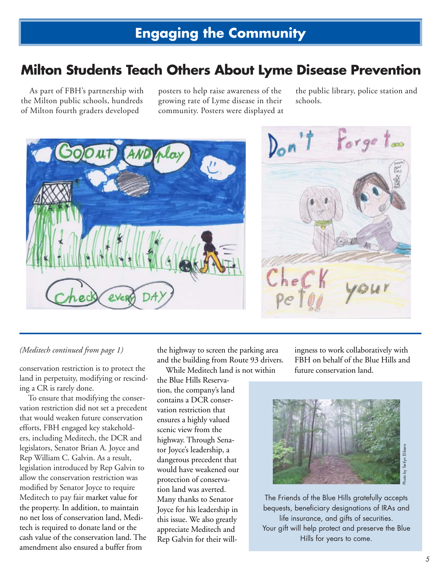## **Milton Students Teach Others About Lyme Disease Prevention**

As part of FBH's partnership with the Milton public schools, hundreds of Milton fourth graders developed

posters to help raise awareness of the growing rate of Lyme disease in their community. Posters were displayed at the public library, police station and schools.





#### *(Meditech continued from page 1)*

conservation restriction is to protect the land in perpetuity, modifying or rescinding a CR is rarely done.

To ensure that modifying the conservation restriction did not set a precedent that would weaken future conservation efforts, FBH engaged key stakeholders, including Meditech, the DCR and legislators, Senator Brian A. Joyce and Rep William C. Galvin. As a result, legislation introduced by Rep Galvin to allow the conservation restriction was modified by Senator Joyce to require Meditech to pay fair market value for the property. In addition, to maintain no net loss of conservation land, Meditech is required to donate land or the cash value of the conservation land. The amendment also ensured a buffer from

the highway to screen the parking area and the building from Route 93 drivers.

While Meditech land is not within the Blue Hills Reservation, the company's land contains a DCR conservation restriction that ensures a highly valued scenic view from the highway. Through Senator Joyce's leadership, a dangerous precedent that would have weakened our protection of conservation land was averted. Many thanks to Senator Joyce for his leadership in this issue. We also greatly appreciate Meditech and Rep Galvin for their willingness to work collaboratively with FBH on behalf of the Blue Hills and future conservation land.



The Friends of the Blue Hills gratefully accepts bequests, beneficiary designations of IRAs and life insurance, and gifts of securities. Your gift will help protect and preserve the Blue Hills for years to come.